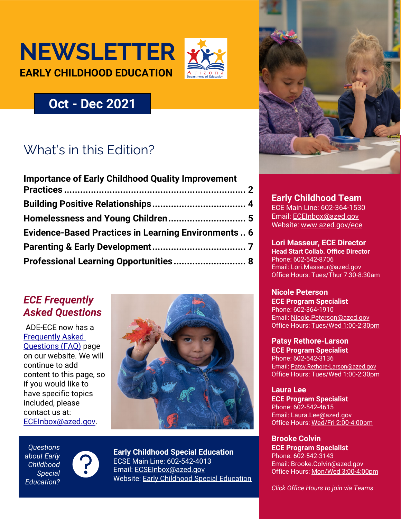



## **Oct - Dec 2021**

## What's in this Edition?

| <b>Importance of Early Childhood Quality Improvement</b>   |  |                                       |
|------------------------------------------------------------|--|---------------------------------------|
|                                                            |  |                                       |
| <b>Evidence-Based Practices in Learning Environments 6</b> |  |                                       |
|                                                            |  | Professional Learning Opportunities 8 |

## *ECE Frequently Asked Questions*

ADE-ECE now has a [Frequently Asked](https://www.azed.gov/ece/faq)  [Questions \(FAQ\)](https://www.azed.gov/ece/faq) page on our website. We will continue to add content to this page, so if you would like to have specific topics included, please contact us at: [ECEInbox@azed.gov.](mailto:ECEInbox@azed.gov)



*Questions about Early Childhood Special Education?*



**Early Childhood Special Education** ECSE Main Line: 602-542-4013 Email: [ECSEInbox@azed.gov](mailto:ECSEInbox@azed.gov) Website: [Early Childhood Special Education](https://www.azed.gov/specialeducation/early-childhood-special-education)



## **Early Childhood Team**

ECE Main Line: 602-364-1530 Email: [ECEInbox@azed.gov](mailto:ECEInbox@azed.gov) Website: [www.azed.gov/ece](https://adecloud-my.sharepoint.com/personal/brooke_colvin_azed_gov/Documents/Communications/Newsletters%20&%20Updates/ECE%20Newsletters/July%202021/www.azed.gov/ece)

**Lori Masseur, ECE Director Head Start Collab. Office Director** Phone: 602-542-8706 Email: [Lori.Masseur@azed.gov](mailto:Lori.Masseur@azed.gov) Office Hours: [Tues/Thur 7:30-8:30am](https://teams.microsoft.com/l/meetup-join/19%3ameeting_NmYwMjY1OTEtYTY3Yi00ZjlmLTliODctNzE5YTg3YjdkZmE2%40thread.v2/0?context=%7b%22Tid%22%3a%2258a5b0cb-441f-42ba-a5a1-8fdfd05a3ffc%22%2c%22Oid%22%3a%22f65100a7-4d96-4a30-a222-dd61c5b1f86e%22%7d)

**Nicole Peterson ECE Program Specialist** Phone: 602-364-1910 Email: [Nicole.Peterson@azed.gov](mailto:Nicole.Peterson@azed.gov) Office Hours: [Tues/Wed 1:00-2:30pm](https://bit.ly/3bjY2UO)

**Patsy Rethore-Larson ECE Program Specialist** Phone: 602-542-3136 Email: [Patsy.Rethore-Larson@azed.gov](mailto:Patsy.Rethore-Larson@azed.gov) Office Hours: [Tues/Wed 1:00-2:30pm](https://teams.microsoft.com/l/meetup-join/19%3ameeting_YWExNDMzZTAtOWFhZC00YTE5LWFkZjMtZDczMmU1ZGM0ZGQ5%40thread.v2/0?context=%7b%22Tid%22%3a%2258a5b0cb-441f-42ba-a5a1-8fdfd05a3ffc%22%2c%22Oid%22%3a%2237599c9b-c968-4f4e-95be-a5e1af225386%22%7dhttps://teams)

**Laura Lee ECE Program Specialist** Phone: 602-542-4615 Email: [Laura.Lee@azed.gov](mailto:Laura.Lee@azed.gov) Office Hours: [Wed/Fri 2](https://teams.microsoft.com/l/meetup-join/19%3ameeting_MWZkOGI3YjAtNGY0NS00YTE4LWI5ODQtZjgwYzUxMDhkNDYz%40thread.v2/0?context=%7b%22Tid%22%3a%2258a5b0cb-441f-42ba-a5a1-8fdfd05a3ffc%22%2c%22Oid%22%3a%220d5cebe5-c126-4cee-a37c-e0b1e6a09aeb%22%7d):00-4:00pm

**Brooke Colvin ECE Program Specialist** Phone: 602-542-3143 Email: [Brooke.Colvin@azed.gov](mailto:Brooke.Colvin@azed.gov) Office Hours: [Mon/Wed 3:00-4:00pm](https://teams.microsoft.com/l/meetup-join/19%3ameeting_NmM1MjY5Y2EtNjA5Zi00ZWI1LWE1YTUtMDU1NDIxYjY1YzU1%40thread.v2/0?context=%7b%22Tid%22%3a%2258a5b0cb-441f-42ba-a5a1-8fdfd05a3ffc%22%2c%22Oid%22%3a%225882f231-14a2-4a18-b1b5-9c40dc84d598%22%7d)

*Click Office Hours to join via Teams*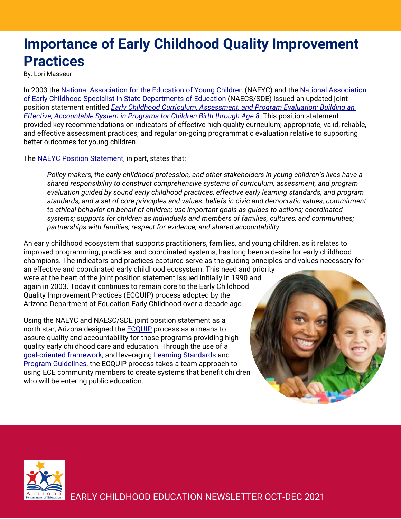## <span id="page-1-0"></span>**Importance of Early Childhood Quality Improvement Practices**

By: Lori Masseur

In 2003 the [National Association for the Education of Young Children](https://www.naeyc.org/) (NAEYC) and the National Association [of Early Childhood Specialist in State Departments of Education](https://www.naecs-sde.org/) (NAECS/SDE) issued an updated joint position statement entitled *[Early Childhood Curriculum, Assessment, and Program Evaluation: Building an](https://www.naeyc.org/sites/default/files/globally-shared/downloads/PDFs/resources/position-statements/pscape.pdf)  [Effective, Accountable System in Programs for Children Birth through Age 8.](https://www.naeyc.org/sites/default/files/globally-shared/downloads/PDFs/resources/position-statements/pscape.pdf)* This position statement provided key recommendations on indicators of effective high-quality curriculum; appropriate, valid, reliable, and effective assessment practices; and regular on-going programmatic evaluation relative to supporting better outcomes for young children.

The [NAEYC Position Statement,](https://www.naeyc.org/sites/default/files/globally-shared/downloads/PDFs/resources/position-statements/CAPEexpand.pdf) in part, states that:

*Policy makers, the early childhood profession, and other stakeholders in young children's lives have a shared responsibility to construct comprehensive systems of curriculum, assessment, and program evaluation guided by sound early childhood practices, effective early learning standards, and program standards, and a set of core principles and values: beliefs in civic and democratic values; commitment to ethical behavior on behalf of children; use important goals as guides to actions; coordinated systems; supports for children as individuals and members of families, cultures, and communities; partnerships with families; respect for evidence; and shared accountability.*

An early childhood ecosystem that supports practitioners, families, and young children, as it relates to improved programming, practices, and coordinated systems, has long been a desire for early childhood champions. The indicators and practices captured serve as the guiding principles and values necessary for

an effective and coordinated early childhood ecosystem. This need and priority were at the heart of the joint position statement issued initially in 1990 and again in 2003. Today it continues to remain core to the Early Childhood Quality Improvement Practices (ECQUIP) process adopted by the Arizona Department of Education Early Childhood over a decade ago.

Using the NAEYC and NAESC/SDE joint position statement as a north star, Arizona designed the **ECQUIP** process as a means to assure quality and accountability for those programs providing highquality early childhood care and education. Through the use of a [goal-oriented framework,](https://www.azed.gov/sites/default/files/2017/01/ecquip.9.21.16-1.pdf?id=587957efaadebe0c98a8053c) and leveraging [Learning Standards](https://www.azed.gov/sites/default/files/2015/02/Arizona%20Early%20Learning%20Standards_4th%20Edition_2021.pdf) and [Program Guidelines,](https://cms.azed.gov/home/GetDocumentFile?id=5879561caadebe0c98a80509) the ECQUIP process takes a team approach to using ECE community members to create systems that benefit children who will be entering public education.



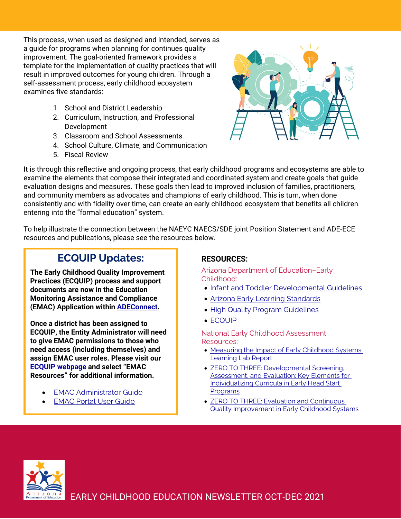This process, when used as designed and intended, serves as a guide for programs when planning for continues quality improvement. The goal-oriented framework provides a template for the implementation of quality practices that will result in improved outcomes for young children. Through a self-assessment process, early childhood ecosystem examines five standards:

- 1. School and District Leadership
- 2. Curriculum, Instruction, and Professional Development
- 3. Classroom and School Assessments
- 4. School Culture, Climate, and Communication
- 5. Fiscal Review



It is through this reflective and ongoing process, that early childhood programs and ecosystems are able to examine the elements that compose their integrated and coordinated system and create goals that guide evaluation designs and measures. These goals then lead to improved inclusion of families, practitioners, and community members as advocates and champions of early childhood. This is turn, when done consistently and with fidelity over time, can create an early childhood ecosystem that benefits all children entering into the "formal education" system.

To help illustrate the connection between the NAEYC NAECS/SDE joint Position Statement and ADE-ECE resources and publications, please see the resources below.

## **ECQUIP Updates:**

**The Early Childhood Quality Improvement Practices (ECQUIP) process and support documents are now in the Education Monitoring Assistance and Compliance (EMAC) Application within [ADEConnect.](https://adeconnect.azed.gov/)** 

**Once a district has been assigned to ECQUIP, the Entity Administrator will need to give EMAC permissions to those who need access (including themselves) and assign EMAC user roles. Please visit our [ECQUIP webpage](https://www.azed.gov/ece/ecquip) and select "EMAC Resources" for additional information.**

- [EMAC Administrator Guide](https://www.azed.gov/sites/default/files/media/EMAC%20Administrator%20Guide.pdf)
- **[EMAC Portal User](https://www.azed.gov/sites/default/files/2021/08/EMAC%20Portal%20User%20Guidev7.pdf) Guide**

## **RESOURCES:**

Arizona Department of Education–Early Childhood:

- [Infant and Toddler Developmental Guidelines](https://www.azed.gov/sites/default/files/media/Arizonas%20Infant%20Toddler%20Developmental%20Guidelines_2nd%20Edition.pdf)
- [Arizona Early Learning Standards](https://www.azed.gov/sites/default/files/2015/02/Arizona%20Early%20Learning%20Standards_4th%20Edition_2021.pdf)
- [High Quality Program Guidelines](https://cms.azed.gov/home/GetDocumentFile?id=5879561caadebe0c98a80509)
- [ECQUIP](https://cms.azed.gov/home/GetDocumentFile?id=587957efaadebe0c98a8053c)

National Early Childhood Assessment Resources:

- Measuring the Impact of Early Childhood Systems: [Learning Lab Report](https://cssp.org/wp-content/uploads/2018/08/Measuring-the-Impact-of-EC-Systems.pdf)
- [ZERO TO THREE: Developmental Screening,](https://www.zerotothree.org/resources/70-developmental-screening-assessment-and-evaluation-key-elements-for-individualizing-curricula-in-early-head-start-programs)  [Assessment, and Evaluation: Key Elements for](https://www.zerotothree.org/resources/70-developmental-screening-assessment-and-evaluation-key-elements-for-individualizing-curricula-in-early-head-start-programs)  [Individualizing Curricula in Early Head Start](https://www.zerotothree.org/resources/70-developmental-screening-assessment-and-evaluation-key-elements-for-individualizing-curricula-in-early-head-start-programs)  [Programs](https://www.zerotothree.org/resources/70-developmental-screening-assessment-and-evaluation-key-elements-for-individualizing-curricula-in-early-head-start-programs)
- [ZERO TO THREE: Evaluation and Continuous](https://www.zerotothree.org/resources/1637-evaluation-and-continuous-quality-improvement-in-early-childhood-systems)  [Quality Improvement in Early Childhood Systems](https://www.zerotothree.org/resources/1637-evaluation-and-continuous-quality-improvement-in-early-childhood-systems)

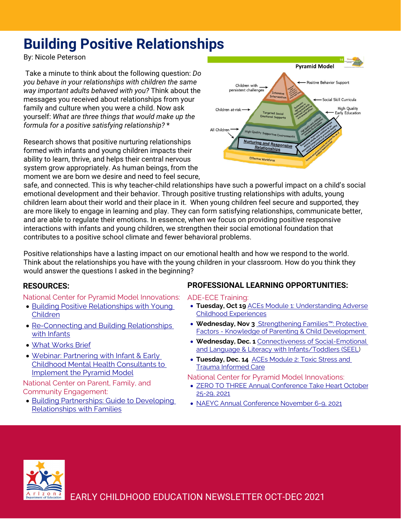# <span id="page-3-0"></span>**Building Positive Relationships**

By: Nicole Peterson

Take a minute to think about the following question: *Do you behave in your relationships with children the same way important adults behaved with you?* Think about the messages you received about relationships from your family and culture when you were a child. Now ask yourself: *What are three things that would make up the formula for a positive satisfying relationship?* \*

Research shows that positive nurturing relationships formed with infants and young children impacts their ability to learn, thrive, and helps their central nervous system grow appropriately. As human beings, from the moment we are born we desire and need to feel secure,



safe, and connected. This is why teacher-child relationships have such a powerful impact on a child's social emotional development and their behavior. Through positive trusting relationships with adults, young children learn about their world and their place in it. When young children feel secure and supported, they are more likely to engage in learning and play. They can form satisfying relationships, communicate better, and are able to regulate their emotions. In essence, when we focus on providing positive responsive interactions with infants and young children, we strengthen their social emotional foundation that contributes to a positive school climate and fewer behavioral problems.

Positive relationships have a lasting impact on our emotional health and how we respond to the world. Think about the relationships you have with the young children in your classroom. How do you think they would answer the questions I asked in the beginning?

## **RESOURCES:**

### National Center for Pyramid Model Innovations:

- [Building Positive Relationships with Young](https://challengingbehavior.cbcs.usf.edu/docs/building-positive-relationships-with-young-children.pdf)  [Children](https://challengingbehavior.cbcs.usf.edu/docs/building-positive-relationships-with-young-children.pdf)
- Re-Connecting and Building Relationships [with Infants](https://challengingbehavior.cbcs.usf.edu/docs/Reconnecting_Infants.pdf)
- [What Works Brief](https://challengingbehavior.cbcs.usf.edu/docs/whatworks/WhatWorksBrief_12.pdf)
- [Webinar: Partnering with Infant & Early](https://youtu.be/VMJW816JvNA)  [Childhood Mental Health Consultants to](https://youtu.be/VMJW816JvNA)  [Implement the Pyramid Model](https://youtu.be/VMJW816JvNA)

National Center on Parent, Family, and Community Engagement:

• [Building Partnerships: Guide to Developing](https://nceln.fpg.unc.edu/sites/nceln.fpg.unc.edu/files/events/Building%20Partnerships-Developing%20Relationships%20with%20Families.pdf)  [Relationships with Families](https://nceln.fpg.unc.edu/sites/nceln.fpg.unc.edu/files/events/Building%20Partnerships-Developing%20Relationships%20with%20Families.pdf)

## **PROFESSIONAL LEARNING OPPORTUNITIES:**

#### ADE-ECE Training:

- **Tuesday, Oct 19** ACEs [Module 1: Understanding Adverse](https://ems.azed.gov/Home/Calendar?sd=8707)  [Childhood Experiences](https://ems.azed.gov/Home/Calendar?sd=8707)
- **Wednesday, Nov 3** [Strengthening Families™: Protective](https://ems.azed.gov/Home/Calendar?sd=8672)  Factors - [Knowledge of Parenting & Child Development](https://ems.azed.gov/Home/Calendar?sd=8672)
- **Wednesday, Dec. 1** [Connectiveness of Social-Emotional](https://ems.azed.gov/Home/Calendar?sd=8696)  [and Language & Literacy with Infants/Toddlers \(SEEL\)](https://ems.azed.gov/Home/Calendar?sd=8696)
- **Tuesday, Dec. 14** ACEs [Module 2: Toxic Stress and](https://ems.azed.gov/Home/Calendar?sd=8708)  [Trauma Informed Care](https://ems.azed.gov/Home/Calendar?sd=8708)

National Center for Pyramid Model Innovations:

- [ZERO TO THREE Annual Conference Take Heart October](https://myzerotothree.force.com/s/community-event?id=a3p2S0000007GChQAM&_ga=2.100928136.886588518.1632933405-876453560.1632342560)  [25-29, 2021](https://myzerotothree.force.com/s/community-event?id=a3p2S0000007GChQAM&_ga=2.100928136.886588518.1632933405-876453560.1632342560)
- [NAEYC Annual Conference November 6-9, 2021](https://www.naeyc.org/events/annual)

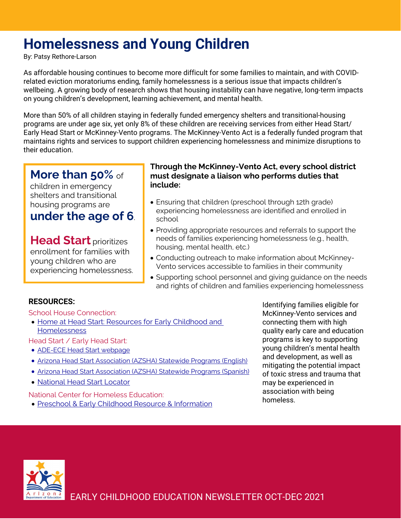# <span id="page-4-0"></span>**Homelessness and Young Children**

By: Patsy Rethore-Larson

As affordable housing continues to become more difficult for some families to maintain, and with COVIDrelated eviction moratoriums ending, family homelessness is a serious issue that impacts children's wellbeing. A growing body of research shows that housing instability can have negative, long-term impacts on young children's development, learning achievement, and mental health.

More than 50% of all children staying in federally funded emergency shelters and transitional-housing programs are under age six, yet only 8% of these children are receiving services from either Head Start/ Early Head Start or McKinney-Vento programs. The McKinney-Vento Act is a federally funded program that maintains rights and services to support children experiencing homelessness and minimize disruptions to their education.

## **More than 50%** of

children in emergency shelters and transitional housing programs are

## **under the age of 6**.

**Head Start** prioritizes enrollment for families with young children who are experiencing homelessness.

### **Through the McKinney-Vento Act, every school district must designate a liaison who performs duties that include:**

- Ensuring that children (preschool through 12th grade) experiencing homelessness are identified and enrolled in school
- Providing appropriate resources and referrals to support the needs of families experiencing homelessness (e.g., health, housing, mental health, etc.)
- Conducting outreach to make information about McKinney-Vento services accessible to families in their community
- Supporting school personnel and giving guidance on the needs and rights of children and families experiencing homelessness

## **RESOURCES:**

School House Connection:

• [Home at Head Start: Resources for Early Childhood and](https://schoolhouseconnection.org/home-at-head-start-new-national-campaign-on-homelessness/)  **[Homelessness](https://schoolhouseconnection.org/home-at-head-start-new-national-campaign-on-homelessness/)** 

Head Start / Early Head Start:

- [ADE-ECE Head Start webpage](https://www.azed.gov/ece/head-start)
- Arizona Head Start Association (AZSHA) Statewide Programs (English)
- Arizona Head Start Association (AZSHA) Statewide Programs (Spanish)
- [National Head Start Locator](https://eclkc.ohs.acf.hhs.gov/center-locator)

### National Center for Homeless Education:

• [Preschool & Early Childhood Resource & Information](https://nche.ed.gov/preschool-early-childhood/)

Identifying families eligible for McKinney-Vento services and connecting them with high quality early care and education programs is key to supporting young children's mental health and development, as well as mitigating the potential impact of toxic stress and trauma that may be experienced in association with being homeless.

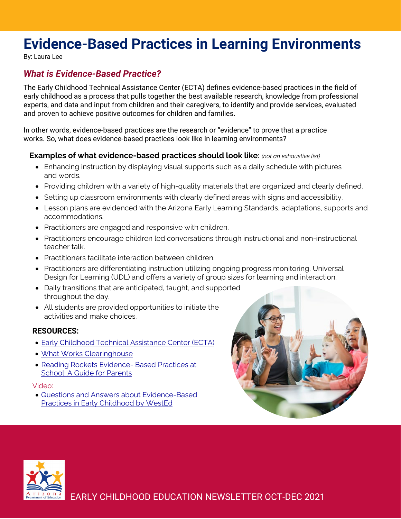## <span id="page-5-0"></span>**Evidence-Based Practices in Learning Environments**

By: Laura Lee

## *What is Evidence-Based Practice?*

The Early Childhood Technical Assistance Center (ECTA) defines evidence-based practices in the field of early childhood as a process that pulls together the best available research, knowledge from professional experts, and data and input from children and their caregivers, to identify and provide services, evaluated and proven to achieve positive outcomes for children and families.

In other words, evidence-based practices are the research or "evidence" to prove that a practice works. So, what does evidence-based practices look like in learning environments?

#### **Examples of what evidence-based practices should look like:** *(not an exhaustive list)*

- Enhancing instruction by displaying visual supports such as a daily schedule with pictures and words.
- Providing children with a variety of high-quality materials that are organized and clearly defined.
- Setting up classroom environments with clearly defined areas with signs and accessibility.
- Lesson plans are evidenced with the Arizona Early Learning Standards, adaptations, supports and accommodations.
- Practitioners are engaged and responsive with children.
- Practitioners encourage children led conversations through instructional and non-instructional teacher talk.
- Practitioners facilitate interaction between children.
- Practitioners are differentiating instruction utilizing ongoing progress monitoring, Universal Design for Learning (UDL) and offers a variety of group sizes for learning and interaction.
- Daily transitions that are anticipated, taught, and supported throughout the day.
- All students are provided opportunities to initiate the activities and make choices.

### **RESOURCES:**

- Early Childhood [Technical Assistance](https://ectacenter.org/topics/evbased/evbased.asp#:%7E:text=Evidence%2Dbased%20practice%20in%20the,positive%20outcomes%20for%20children%20and) Center (ECTA)
- [What Works Clearinghouse](https://ies.ed.gov/ncee/wwc/)
- Reading Rockets Evidence- [Based Practices at](https://www.readingrockets.org/article/evidence-based-practices-school-guide-parents)  [School: A Guide for Parents](https://www.readingrockets.org/article/evidence-based-practices-school-guide-parents)

#### Video:

• [Questions and Answers about Evidence-Based](https://ncsi-library.wested.org/resources/228)  [Practices in Early Childhood by WestEd](https://ncsi-library.wested.org/resources/228)



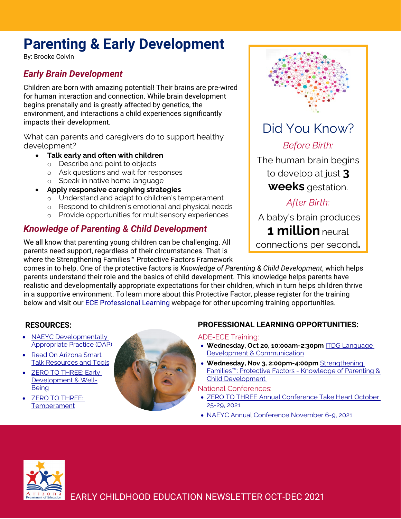# <span id="page-6-0"></span>**Parenting & Early Development**

By: Brooke Colvin

## *Early Brain Development*

Children are born with amazing potential! Their brains are pre-wired for human interaction and connection. While brain development begins prenatally and is greatly affected by genetics, the environment, and interactions a child experiences significantly impacts their development.

What can parents and caregivers do to support healthy development?

- **Talk early and often with children**
	- o Describe and point to objects
	- o Ask questions and wait for responses
	- o Speak in native home language
- **Apply responsive caregiving strategies**
	- o Understand and adapt to children's temperament
	- o Respond to children's emotional and physical needs
	- o Provide opportunities for multisensory experiences

## *Knowledge of Parenting & Child Development*

We all know that parenting young children can be challenging. All parents need support, regardless of their circumstances. That is where the Strengthening Families™ Protective Factors Framework



parents understand their role and the basics of child development. This knowledge helps parents have realistic and developmentally appropriate expectations for their children, which in turn helps children thrive in a supportive environment. To learn more about this Protective Factor, please register for the training below and visit our **ECE Professional Learning** webpage for other upcoming training opportunities.

## **RESOURCES:**

- [NAEYC Developmentally](https://www.naeyc.org/resources/topics/dap)  [Appropriate Practice \(DAP\)](https://www.naeyc.org/resources/topics/dap)
- [Read On Arizona Smart](https://readonarizona.org/resources/smart-talk/resources-and-tools/)  [Talk Resources and Tools](https://readonarizona.org/resources/smart-talk/resources-and-tools/)
- **ZERO TO THREE: Early** [Development & Well-](https://www.zerotothree.org/early-development)**[Being](https://www.zerotothree.org/early-development)**
- **ZERO TO THREE: [Temperament](https://www.zerotothree.org/early-development/temperament)**



## **PROFESSIONAL LEARNING OPPORTUNITIES:**

### ADE-ECE Training:

• **Wednesday, Oct 20, 10:00am-2:30pm** [ITDG Language](https://ems.azed.gov/Home/Calendar?sd=8671)  [Development & Communication](https://ems.azed.gov/Home/Calendar?sd=8671)

Did You Know?

*Before Birth:*

The human brain begins

to develop at just **3 weeks** gestation.

*After Birth:*

• **Wednesday, Nov 3, 2:00pm-4:00pm** [Strengthening](https://ems.azed.gov/Home/Calendar?sd=8672)  [Families™: Protective Factors -](https://ems.azed.gov/Home/Calendar?sd=8672) Knowledge of Parenting & [Child Development](https://ems.azed.gov/Home/Calendar?sd=8672)

National Conferences:

- [ZERO TO THREE Annual Conference Take Heart October](https://myzerotothree.force.com/s/community-event?id=a3p2S0000007GChQAM&_ga=2.100928136.886588518.1632933405-876453560.1632342560)  [25-29, 2021](https://myzerotothree.force.com/s/community-event?id=a3p2S0000007GChQAM&_ga=2.100928136.886588518.1632933405-876453560.1632342560)
- [NAEYC Annual Conference November 6-9, 2021](https://www.naeyc.org/events/annual)

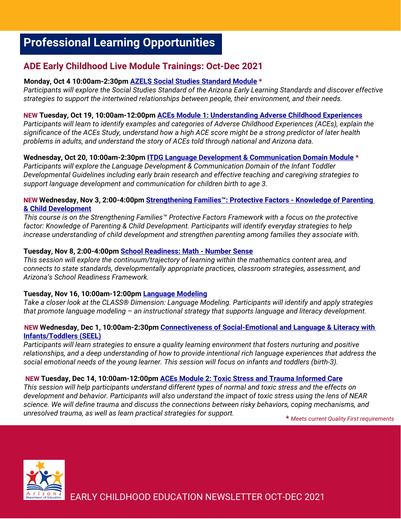## <span id="page-7-0"></span>**Professional Learning Opportunities**

## **ADE Early Childhood Live Module Trainings: Oct-Dec 2021**

#### **Monday, Oct 4 10:00am-2:30pm [AZELS Social Studies Standard Module](https://ems.azed.gov/Home/Calendar?sd=8679) \***

*Participants will explore the Social Studies Standard of the Arizona Early Learning Standards and discover effective strategies to support the intertwined relationships between people, their environment, and their needs.*

#### **NEW Tuesday, Oct 19, 10:00am-12:00pm [ACEs Module 1: Understanding Adverse Childhood Experiences](https://ems.azed.gov/Home/Calendar?sd=8707)**

*Participants will learn to identify examples and categories of Adverse Childhood Experiences (ACEs), explain the significance of the ACEs Study, understand how a high ACE score might be a strong predictor of later health problems in adults, and understand the story of ACEs told through national and Arizona data.*

#### **Wednesday, Oct 20, 10:00am-2:30pm [ITDG Language Development & Communication Domain Module](https://ems.azed.gov/Home/Calendar?sd=8671) \***

*Participants will explore the Language Development & Communication Domain of the Infant Toddler Developmental Guidelines including early brain research and effective teaching and caregiving strategies to support language development and communication for children birth to age 3.*

#### **NEW Wednesday, Nov 3, 2:00-4:00pm [Strengthening Families™: Protective Factors -](https://ems.azed.gov/Home/Calendar?sd=8672) Knowledge of Parenting [& Child Development](https://ems.azed.gov/Home/Calendar?sd=8672)**

*This course is on the Strengthening Families™ Protective Factors Framework with a focus on the protective factor: Knowledge of Parenting & Child Development. Participants will identify everyday strategies to help increase understanding of child development and strengthen parenting among families they associate with.*

#### **Tuesday, Nov 8, 2:00-4:00pm [School Readiness: Math -](https://ems.azed.gov/Home/Calendar?sd=8678) Number Sense**

*This session will explore the continuum/trajectory of learning within the mathematics content area, and connects to state standards, developmentally appropriate practices, classroom strategies, assessment, and Arizona's School Readiness Framework.*

#### **Tuesday, Nov 16, 10:00am-12:00pm [Language Modeling](https://ems.azed.gov/Home/Calendar?sd=8675)**

*Take a closer look at the CLASS® Dimension: Language Modeling. Participants will identify and apply strategies that promote language modeling – an instructional strategy that supports language and literacy development.*

#### **NEW Wednesday, Dec 1, 10:00am-2:30pm [Connectiveness of Social-Emotional and Language & Literacy with](https://ems.azed.gov/Home/Calendar?sd=8696)  [Infants/Toddlers \(SEEL\)](https://ems.azed.gov/Home/Calendar?sd=8696)**

*Participants will learn strategies to ensure a quality learning environment that fosters nurturing and positive relationships, and a deep understanding of how to provide intentional rich language experiences that address the social emotional needs of the young learner. This session will focus on infants and toddlers (birth-3).*

#### **NEW Tuesday, Dec 14, 10:00am-12:00pm [ACEs Module 2: Toxic Stress and Trauma Informed Care](https://ems.azed.gov/Home/Calendar?sd=8708)**

*This session will help participants understand different types of normal and toxic stress and the effects on development and behavior. Participants will also understand the impact of toxic stress using the lens of NEAR science. We will define trauma and discuss the connections between risky behaviors, coping mechanisms, and unresolved trauma, as well as learn practical strategies for support.* **\*** *Meets current Quality First requirements*